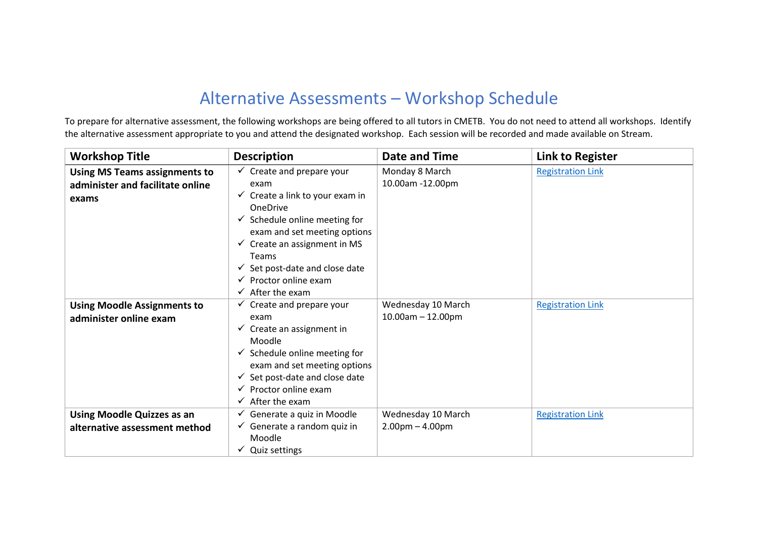## Alternative Assessments – Workshop Schedule

To prepare for alternative assessment, the following workshops are being offered to all tutors in CMETB. You do not need to attend all workshops. Identify the alternative assessment appropriate to you and attend the designated workshop. Each session will be recorded and made available on Stream.

| <b>Workshop Title</b>                                                             | <b>Description</b>                                                                                                                                                                                                                                                            | Date and Time                                 | <b>Link to Register</b>  |
|-----------------------------------------------------------------------------------|-------------------------------------------------------------------------------------------------------------------------------------------------------------------------------------------------------------------------------------------------------------------------------|-----------------------------------------------|--------------------------|
| <b>Using MS Teams assignments to</b><br>administer and facilitate online<br>exams | $\checkmark$ Create and prepare your<br>exam<br>$\checkmark$ Create a link to your exam in                                                                                                                                                                                    | Monday 8 March<br>10.00am -12.00pm            | <b>Registration Link</b> |
|                                                                                   | <b>OneDrive</b><br>$\checkmark$ Schedule online meeting for<br>exam and set meeting options<br>$\checkmark$ Create an assignment in MS<br>Teams<br>$\checkmark$ Set post-date and close date<br>$\checkmark$ Proctor online exam<br>$\checkmark$ After the exam               |                                               |                          |
| <b>Using Moodle Assignments to</b><br>administer online exam                      | $\checkmark$ Create and prepare your<br>exam<br>$\checkmark$ Create an assignment in<br>Moodle<br>$\checkmark$ Schedule online meeting for<br>exam and set meeting options<br>Set post-date and close date<br>$\checkmark$ Proctor online exam<br>$\checkmark$ After the exam | Wednesday 10 March<br>$10.00$ am $- 12.00$ pm | <b>Registration Link</b> |
| <b>Using Moodle Quizzes as an</b><br>alternative assessment method                | $\checkmark$ Generate a quiz in Moodle<br>$\checkmark$ Generate a random quiz in<br>Moodle<br>$\checkmark$ Quiz settings                                                                                                                                                      | Wednesday 10 March<br>$2.00pm - 4.00pm$       | <b>Registration Link</b> |